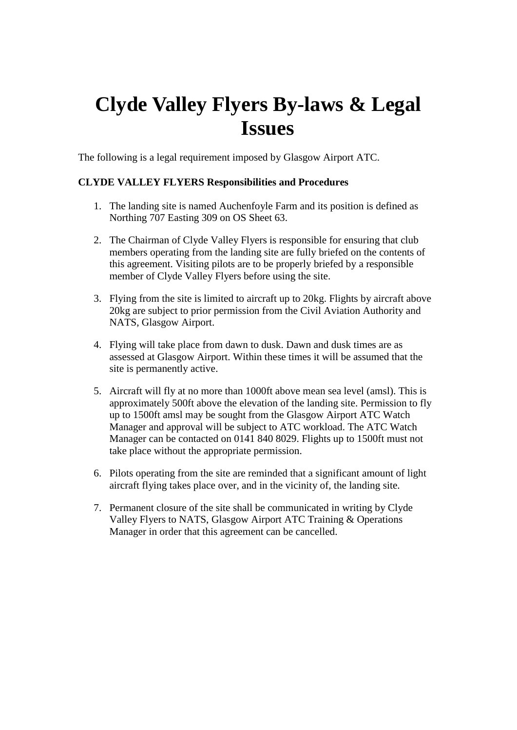# **Clyde Valley Flyers By-laws & Legal Issues**

The following is a legal requirement imposed by Glasgow Airport ATC.

## **CLYDE VALLEY FLYERS Responsibilities and Procedures**

- 1. The landing site is named Auchenfoyle Farm and its position is defined as Northing 707 Easting 309 on OS Sheet 63.
- 2. The Chairman of Clyde Valley Flyers is responsible for ensuring that club members operating from the landing site are fully briefed on the contents of this agreement. Visiting pilots are to be properly briefed by a responsible member of Clyde Valley Flyers before using the site.
- 3. Flying from the site is limited to aircraft up to 20kg. Flights by aircraft above 20kg are subject to prior permission from the Civil Aviation Authority and NATS, Glasgow Airport.
- 4. Flying will take place from dawn to dusk. Dawn and dusk times are as assessed at Glasgow Airport. Within these times it will be assumed that the site is permanently active.
- 5. Aircraft will fly at no more than 1000ft above mean sea level (amsl). This is approximately 500ft above the elevation of the landing site. Permission to fly up to 1500ft amsl may be sought from the Glasgow Airport ATC Watch Manager and approval will be subject to ATC workload. The ATC Watch Manager can be contacted on 0141 840 8029. Flights up to 1500ft must not take place without the appropriate permission.
- 6. Pilots operating from the site are reminded that a significant amount of light aircraft flying takes place over, and in the vicinity of, the landing site.
- 7. Permanent closure of the site shall be communicated in writing by Clyde Valley Flyers to NATS, Glasgow Airport ATC Training & Operations Manager in order that this agreement can be cancelled.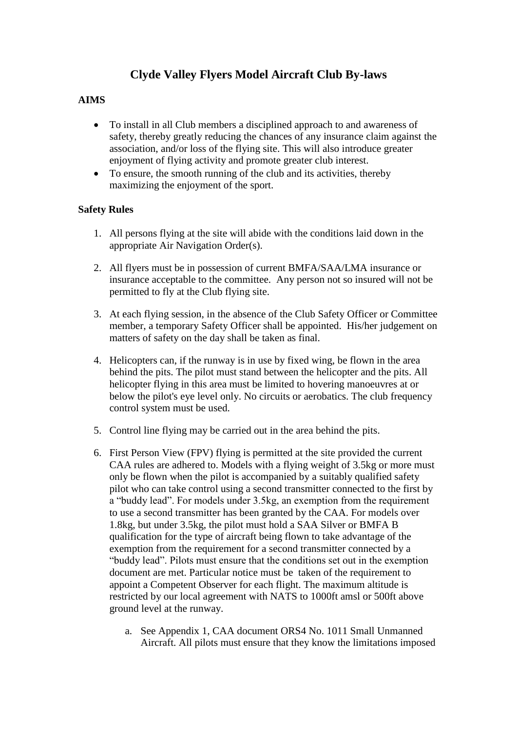# **Clyde Valley Flyers Model Aircraft Club By-laws**

# **AIMS**

- To install in all Club members a disciplined approach to and awareness of safety, thereby greatly reducing the chances of any insurance claim against the association, and/or loss of the flying site. This will also introduce greater enjoyment of flying activity and promote greater club interest.
- To ensure, the smooth running of the club and its activities, thereby maximizing the enjoyment of the sport.

### **Safety Rules**

- 1. All persons flying at the site will abide with the conditions laid down in the appropriate Air Navigation Order(s).
- 2. All flyers must be in possession of current BMFA/SAA/LMA insurance or insurance acceptable to the committee. Any person not so insured will not be permitted to fly at the Club flying site.
- 3. At each flying session, in the absence of the Club Safety Officer or Committee member, a temporary Safety Officer shall be appointed. His/her judgement on matters of safety on the day shall be taken as final.
- 4. Helicopters can, if the runway is in use by fixed wing, be flown in the area behind the pits. The pilot must stand between the helicopter and the pits. All helicopter flying in this area must be limited to hovering manoeuvres at or below the pilot's eye level only. No circuits or aerobatics. The club frequency control system must be used.
- 5. Control line flying may be carried out in the area behind the pits.
- 6. First Person View (FPV) flying is permitted at the site provided the current CAA rules are adhered to. Models with a flying weight of 3.5kg or more must only be flown when the pilot is accompanied by a suitably qualified safety pilot who can take control using a second transmitter connected to the first by a "buddy lead". For models under 3.5kg, an exemption from the requirement to use a second transmitter has been granted by the CAA. For models over 1.8kg, but under 3.5kg, the pilot must hold a SAA Silver or BMFA B qualification for the type of aircraft being flown to take advantage of the exemption from the requirement for a second transmitter connected by a "buddy lead". Pilots must ensure that the conditions set out in the exemption document are met. Particular notice must be taken of the requirement to appoint a Competent Observer for each flight. The maximum altitude is restricted by our local agreement with NATS to 1000ft amsl or 500ft above ground level at the runway.
	- a. See Appendix 1, CAA document ORS4 No. 1011 Small Unmanned Aircraft. All pilots must ensure that they know the limitations imposed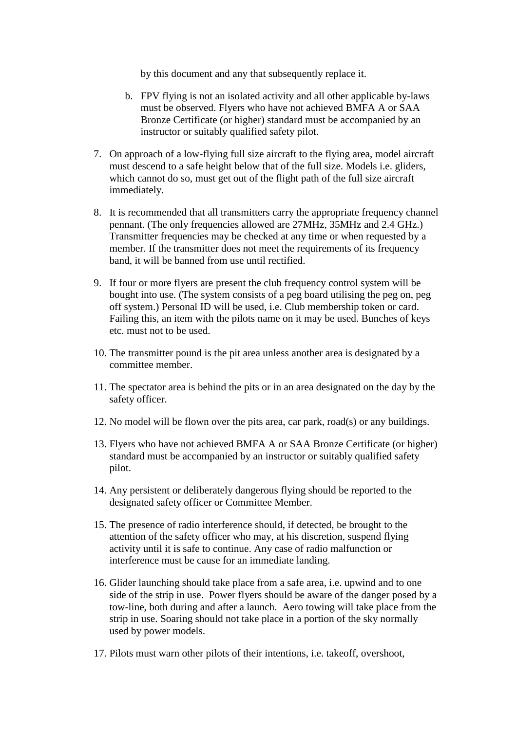by this document and any that subsequently replace it.

- b. FPV flying is not an isolated activity and all other applicable by-laws must be observed. Flyers who have not achieved BMFA A or SAA Bronze Certificate (or higher) standard must be accompanied by an instructor or suitably qualified safety pilot.
- 7. On approach of a low-flying full size aircraft to the flying area, model aircraft must descend to a safe height below that of the full size. Models i.e. gliders, which cannot do so, must get out of the flight path of the full size aircraft immediately.
- 8. It is recommended that all transmitters carry the appropriate frequency channel pennant. (The only frequencies allowed are 27MHz, 35MHz and 2.4 GHz.) Transmitter frequencies may be checked at any time or when requested by a member. If the transmitter does not meet the requirements of its frequency band, it will be banned from use until rectified.
- 9. If four or more flyers are present the club frequency control system will be bought into use. (The system consists of a peg board utilising the peg on, peg off system.) Personal ID will be used, i.e. Club membership token or card. Failing this, an item with the pilots name on it may be used. Bunches of keys etc. must not to be used.
- 10. The transmitter pound is the pit area unless another area is designated by a committee member.
- 11. The spectator area is behind the pits or in an area designated on the day by the safety officer.
- 12. No model will be flown over the pits area, car park, road(s) or any buildings.
- 13. Flyers who have not achieved BMFA A or SAA Bronze Certificate (or higher) standard must be accompanied by an instructor or suitably qualified safety pilot.
- 14. Any persistent or deliberately dangerous flying should be reported to the designated safety officer or Committee Member.
- 15. The presence of radio interference should, if detected, be brought to the attention of the safety officer who may, at his discretion, suspend flying activity until it is safe to continue. Any case of radio malfunction or interference must be cause for an immediate landing.
- 16. Glider launching should take place from a safe area, i.e. upwind and to one side of the strip in use. Power flyers should be aware of the danger posed by a tow-line, both during and after a launch. Aero towing will take place from the strip in use. Soaring should not take place in a portion of the sky normally used by power models.
- 17. Pilots must warn other pilots of their intentions, i.e. takeoff, overshoot,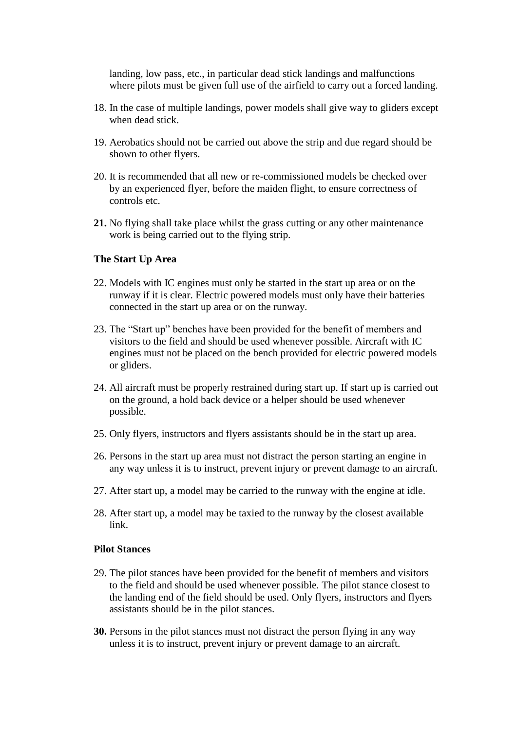landing, low pass, etc., in particular dead stick landings and malfunctions where pilots must be given full use of the airfield to carry out a forced landing.

- 18. In the case of multiple landings, power models shall give way to gliders except when dead stick.
- 19. Aerobatics should not be carried out above the strip and due regard should be shown to other flyers.
- 20. It is recommended that all new or re-commissioned models be checked over by an experienced flyer, before the maiden flight, to ensure correctness of controls etc.
- **21.** No flying shall take place whilst the grass cutting or any other maintenance work is being carried out to the flying strip.

#### **The Start Up Area**

- 22. Models with IC engines must only be started in the start up area or on the runway if it is clear. Electric powered models must only have their batteries connected in the start up area or on the runway.
- 23. The "Start up" benches have been provided for the benefit of members and visitors to the field and should be used whenever possible. Aircraft with IC engines must not be placed on the bench provided for electric powered models or gliders.
- 24. All aircraft must be properly restrained during start up. If start up is carried out on the ground, a hold back device or a helper should be used whenever possible.
- 25. Only flyers, instructors and flyers assistants should be in the start up area.
- 26. Persons in the start up area must not distract the person starting an engine in any way unless it is to instruct, prevent injury or prevent damage to an aircraft.
- 27. After start up, a model may be carried to the runway with the engine at idle.
- 28. After start up, a model may be taxied to the runway by the closest available link.

#### **Pilot Stances**

- 29. The pilot stances have been provided for the benefit of members and visitors to the field and should be used whenever possible. The pilot stance closest to the landing end of the field should be used. Only flyers, instructors and flyers assistants should be in the pilot stances.
- **30.** Persons in the pilot stances must not distract the person flying in any way unless it is to instruct, prevent injury or prevent damage to an aircraft.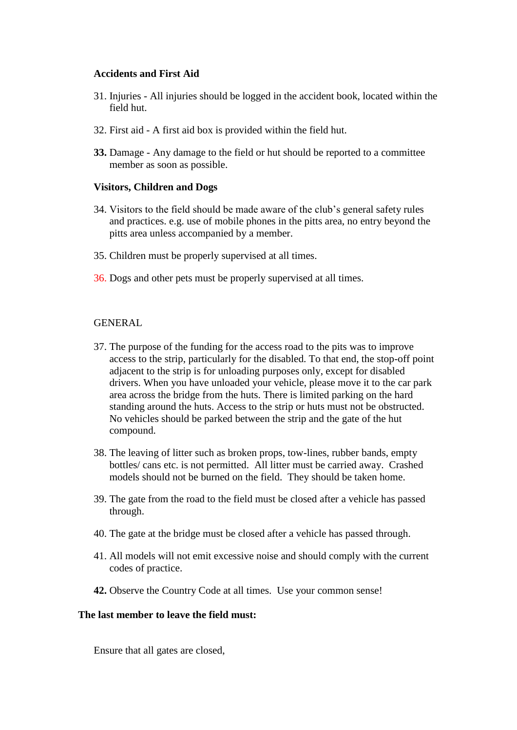#### **Accidents and First Aid**

- 31. Injuries All injuries should be logged in the accident book, located within the field hut.
- 32. First aid A first aid box is provided within the field hut.
- **33.** Damage Any damage to the field or hut should be reported to a committee member as soon as possible.

#### **Visitors, Children and Dogs**

- 34. Visitors to the field should be made aware of the club's general safety rules and practices. e.g. use of mobile phones in the pitts area, no entry beyond the pitts area unless accompanied by a member.
- 35. Children must be properly supervised at all times.
- 36. Dogs and other pets must be properly supervised at all times.

#### GENERAL

- 37. The purpose of the funding for the access road to the pits was to improve access to the strip, particularly for the disabled. To that end, the stop-off point adjacent to the strip is for unloading purposes only, except for disabled drivers. When you have unloaded your vehicle, please move it to the car park area across the bridge from the huts. There is limited parking on the hard standing around the huts. Access to the strip or huts must not be obstructed. No vehicles should be parked between the strip and the gate of the hut compound.
- 38. The leaving of litter such as broken props, tow-lines, rubber bands, empty bottles/ cans etc. is not permitted. All litter must be carried away. Crashed models should not be burned on the field. They should be taken home.
- 39. The gate from the road to the field must be closed after a vehicle has passed through.
- 40. The gate at the bridge must be closed after a vehicle has passed through.
- 41. All models will not emit excessive noise and should comply with the current codes of practice.
- **42.** Observe the Country Code at all times. Use your common sense!

#### **The last member to leave the field must:**

Ensure that all gates are closed,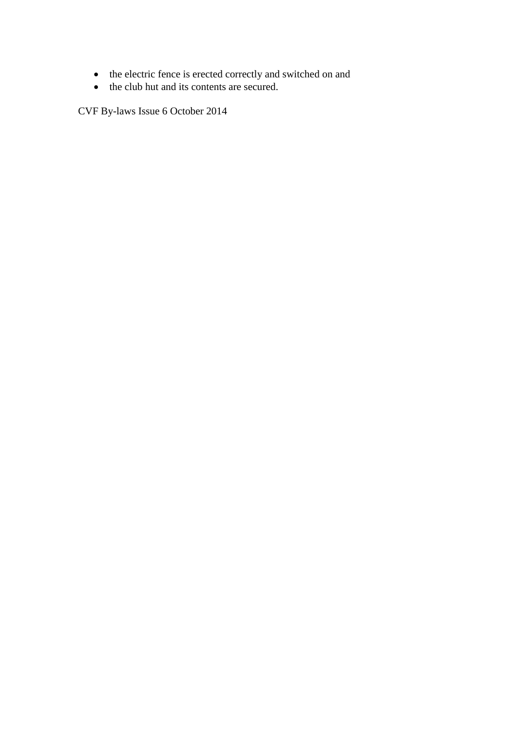- the electric fence is erected correctly and switched on and
- the club hut and its contents are secured.

CVF By-laws Issue 6 October 2014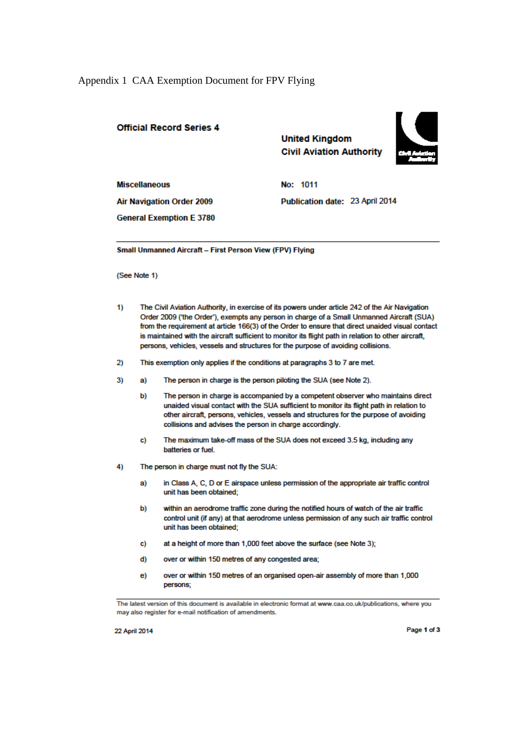#### Appendix 1 CAA Exemption Document for FPV Flying

#### **Official Record Series 4**

**United Kingdom Civil Aviation Authority** 



**Miscellaneous** 

No: 1011 Publication date: 23 April 2014

**Air Navigation Order 2009** 

**General Exemption E 3780** 

Small Unmanned Aircraft - First Person View (FPV) Flying

(See Note 1)

- $1)$ The Civil Aviation Authority, in exercise of its powers under article 242 of the Air Navigation Order 2009 ('the Order'), exempts any person in charge of a Small Unmanned Aircraft (SUA) from the requirement at article 166(3) of the Order to ensure that direct unaided visual contact is maintained with the aircraft sufficient to monitor its flight path in relation to other aircraft, persons, vehicles, vessels and structures for the purpose of avoiding collisions.
- This exemption only applies if the conditions at paragraphs 3 to 7 are met.  $2)$
- $3)$ The person in charge is the person piloting the SUA (see Note 2). a)
	- b) The person in charge is accompanied by a competent observer who maintains direct unaided visual contact with the SUA sufficient to monitor its flight path in relation to other aircraft, persons, vehicles, vessels and structures for the purpose of avoiding collisions and advises the person in charge accordingly.
	- The maximum take-off mass of the SUA does not exceed 3.5 kg, including any  $c)$ batteries or fuel.
- 4) The person in charge must not fly the SUA:
	- in Class A, C, D or E airspace unless permission of the appropriate air traffic control a) unit has been obtained:
	- b) within an aerodrome traffic zone during the notified hours of watch of the air traffic control unit (if any) at that aerodrome unless permission of any such air traffic control unit has been obtained;
	- at a height of more than 1,000 feet above the surface (see Note 3); c)
	- d) over or within 150 metres of any congested area;
	- over or within 150 metres of an organised open-air assembly of more than 1,000  $e)$ persons;

The latest version of this document is available in electronic format at www.caa.co.uk/publications, where you may also register for e-mail notification of amendments.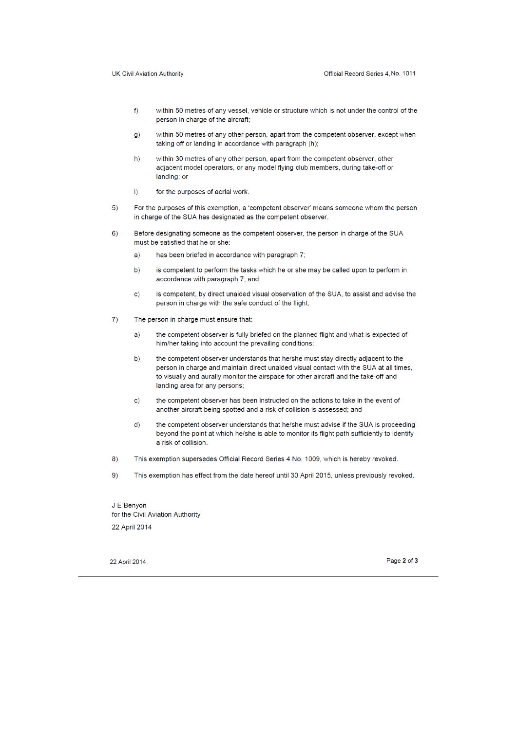- $f$ within 50 metres of any vessel, vehicle or structure which is not under the control of the person in charge of the aircraft;
- within 50 metres of any other person, apart from the competent observer, except when  $\alpha$ ) taking off or landing in accordance with paragraph (h);
- $h)$ within 30 metres of any other person, apart from the competent observer, other adjacent model operators, or any model flying club members, during take-off or landing; or
- $i)$ for the purposes of aerial work.
- $5)$ For the purposes of this exemption, a 'competent observer' means someone whom the person in charge of the SUA has designated as the competent observer.
- $6)$ Before designating someone as the competent observer, the person in charge of the SUA must be satisfied that he or she:
	- has been briefed in accordance with paragraph 7;  $a)$
	- is competent to perform the tasks which he or she may be called upon to perform in  $b)$ accordance with paragraph 7; and
	- $\mathbf{c}$ ) is competent, by direct unaided visual observation of the SUA, to assist and advise the person in charge with the safe conduct of the flight.
- $\overline{7}$ The person in charge must ensure that:
	- the competent observer is fully briefed on the planned flight and what is expected of  $a)$ him/her taking into account the prevailing conditions;
	- the competent observer understands that he/she must stay directly adjacent to the  $h)$ person in charge and maintain direct unaided visual contact with the SUA at all times, to visually and aurally monitor the airspace for other aircraft and the take-off and landing area for any persons;
	- the competent observer has been instructed on the actions to take in the event of  $\mathbf{c}$ another aircraft being spotted and a risk of collision is assessed; and
	- $d$ the competent observer understands that he/she must advise if the SUA is proceeding beyond the point at which he/she is able to monitor its flight path sufficiently to identify a risk of collision.
- $8)$ This exemption supersedes Official Record Series 4 No. 1009, which is hereby revoked.
- $9)$ This exemption has effect from the date hereof until 30 April 2015, unless previously revoked.

J E Benyon for the Civil Aviation Authority 22 April 2014

22 April 2014

Page 2 of 3